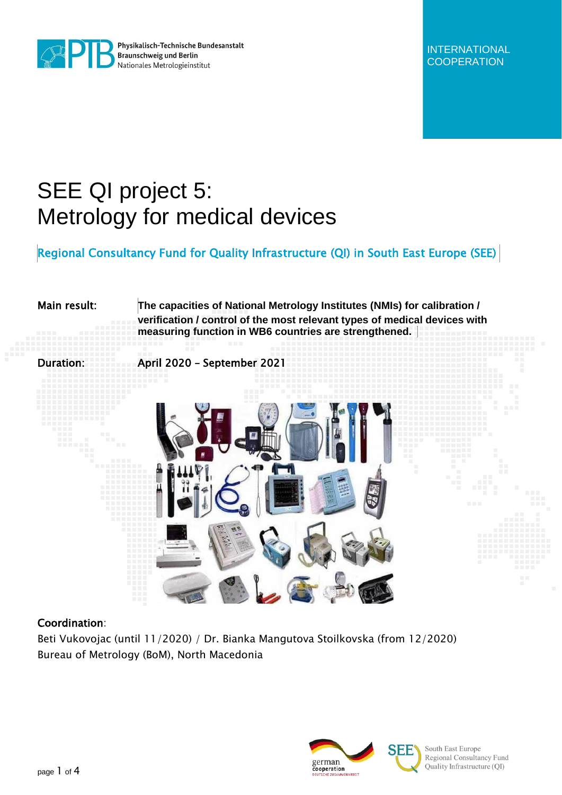

Physikalisch-Technische Bundesanstalt **Braunschweig und Berlin** Nationales Metrologieinstitut

INTERNATIONAL **COOPERATION** 

## SEE QI project 5: Metrology for medical devices

Regional Consultancy Fund for Quality Infrastructure (QI) in South East Europe (SEE)

# Main result: **The capacities of National Metrology Institutes (NMIs) for calibration / verification / control of the most relevant types of medical devices with measuring function in WB6 countries are strengthened.** Duration: April 2020 – September 2021

#### Coordination:

Beti Vukovojac (until 11/2020) / Dr. Bianka Mangutova Stoilkovska (from 12/2020) Bureau of Metrology (BoM), North Macedonia



South East Europe Regional Consultancy Fund Quality Infrastructure (QI)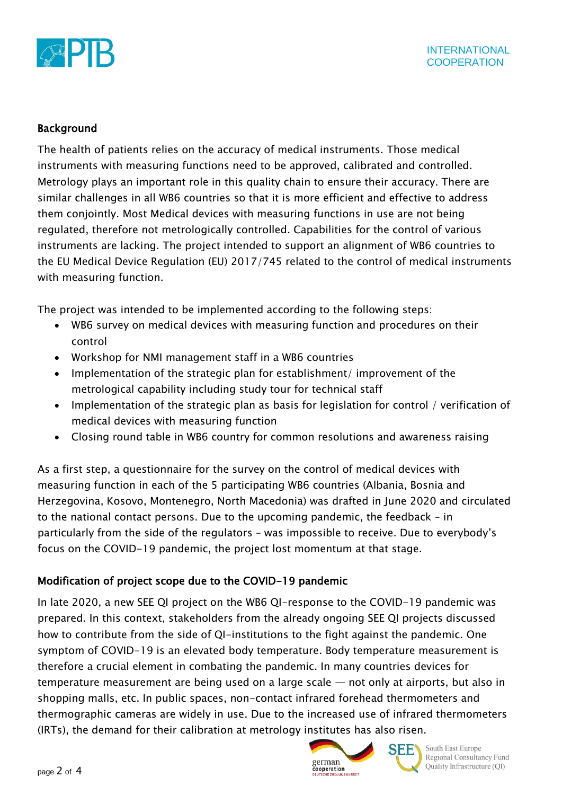

#### Background

The health of patients relies on the accuracy of medical instruments. Those medical instruments with measuring functions need to be approved, calibrated and controlled. Metrology plays an important role in this quality chain to ensure their accuracy. There are similar challenges in all WB6 countries so that it is more efficient and effective to address them conjointly. Most Medical devices with measuring functions in use are not being regulated, therefore not metrologically controlled. Capabilities for the control of various instruments are lacking. The project intended to support an alignment of WB6 countries to the EU Medical Device Regulation (EU) 2017/745 related to the control of medical instruments with measuring function.

The project was intended to be implemented according to the following steps:

- WB6 survey on medical devices with measuring function and procedures on their control
- Workshop for NMI management staff in a WB6 countries
- Implementation of the strategic plan for establishment/ improvement of the metrological capability including study tour for technical staff
- Implementation of the strategic plan as basis for legislation for control / verification of medical devices with measuring function
- Closing round table in WB6 country for common resolutions and awareness raising

As a first step, a questionnaire for the survey on the control of medical devices with measuring function in each of the 5 participating WB6 countries (Albania, Bosnia and Herzegovina, Kosovo, Montenegro, North Macedonia) was drafted in June 2020 and circulated to the national contact persons. Due to the upcoming pandemic, the feedback – in particularly from the side of the regulators – was impossible to receive. Due to everybody's focus on the COVID-19 pandemic, the project lost momentum at that stage.

#### Modification of project scope due to the COVID-19 pandemic

In late 2020, a new SEE QI project on the WB6 QI-response to the COVID-19 pandemic was prepared. In this context, stakeholders from the already ongoing SEE QI projects discussed how to contribute from the side of QI-institutions to the fight against the pandemic. One symptom of COVID-19 is an elevated body temperature. Body temperature measurement is therefore a crucial element in combating the pandemic. In many countries devices for temperature measurement are being used on a large scale — not only at airports, but also in shopping malls, etc. In public spaces, non-contact infrared forehead thermometers and thermographic cameras are widely in use. Due to the increased use of infrared thermometers (IRTs), the demand for their calibration at metrology institutes has also risen.



**SEE** South East Europe

Regional Consultancy Fund Quality Infrastructure (QI)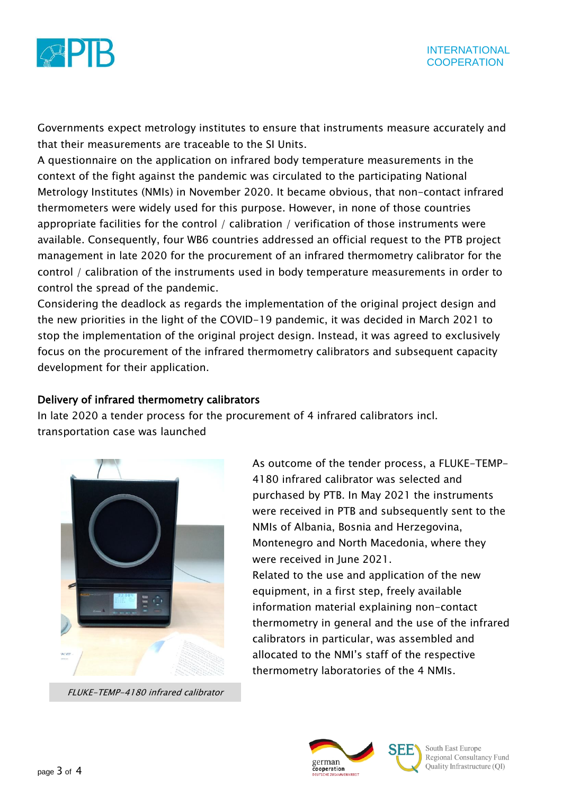

Governments expect metrology institutes to ensure that instruments measure accurately and that their measurements are traceable to the SI Units.

A questionnaire on the application on infrared body temperature measurements in the context of the fight against the pandemic was circulated to the participating National Metrology Institutes (NMIs) in November 2020. It became obvious, that non-contact infrared thermometers were widely used for this purpose. However, in none of those countries appropriate facilities for the control / calibration / verification of those instruments were available. Consequently, four WB6 countries addressed an official request to the PTB project management in late 2020 for the procurement of an infrared thermometry calibrator for the control / calibration of the instruments used in body temperature measurements in order to control the spread of the pandemic.

Considering the deadlock as regards the implementation of the original project design and the new priorities in the light of the COVID-19 pandemic, it was decided in March 2021 to stop the implementation of the original project design. Instead, it was agreed to exclusively focus on the procurement of the infrared thermometry calibrators and subsequent capacity development for their application.

#### Delivery of infrared thermometry calibrators

In late 2020 a tender process for the procurement of 4 infrared calibrators incl. transportation case was launched



FLUKE-TEMP-4180 infrared calibrator

As outcome of the tender process, a FLUKE-TEMP-4180 infrared calibrator was selected and purchased by PTB. In May 2021 the instruments were received in PTB and subsequently sent to the NMIs of Albania, Bosnia and Herzegovina, Montenegro and North Macedonia, where they were received in June 2021.

Related to the use and application of the new equipment, in a first step, freely available information material explaining non-contact thermometry in general and the use of the infrared calibrators in particular, was assembled and allocated to the NMI's staff of the respective thermometry laboratories of the 4 NMIs.